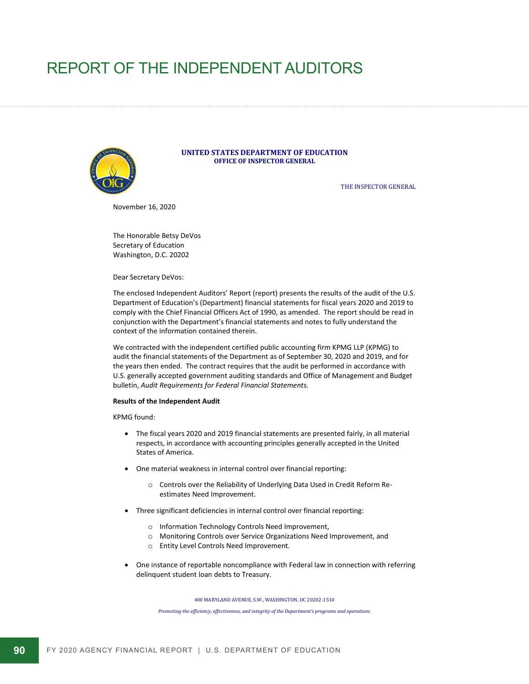# REPORT OF THE INDEPENDENT AUDITORS



## **UNITED STATES DEPARTMENT OF EDUCATION OFFICE OF INSPECTOR GENERAL**

THE INSPECTOR GENERAL

November 16, 2020

The Honorable Betsy DeVos Secretary of Education Washington, D.C. 20202

Dear Secretary DeVos:

The enclosed Independent Auditors' Report (report) presents the results of the audit of the U.S. Department of Education's (Department) financial statements for fiscal years 2020 and 2019 to comply with the Chief Financial Officers Act of 1990, as amended. The report should be read in conjunction with the Department's financial statements and notes to fully understand the context of the information contained therein.

We contracted with the independent certified public accounting firm KPMG LLP (KPMG) to audit the financial statements of the Department as of September 30, 2020 and 2019, and for the years then ended. The contract requires that the audit be performed in accordance with U.S. generally accepted government auditing standards and Office of Management and Budget bulletin, Audit Requirements for Federal Financial Statements.

#### **Results of the Independent Audit**

**KPMG found:** 

- The fiscal years 2020 and 2019 financial statements are presented fairly, in all material respects, in accordance with accounting principles generally accepted in the United States of America.
- One material weakness in internal control over financial reporting:  $\bullet$ 
	- o Controls over the Reliability of Underlying Data Used in Credit Reform Reestimates Need Improvement.
- Three significant deficiencies in internal control over financial reporting:
	- o Information Technology Controls Need Improvement,
	- o Monitoring Controls over Service Organizations Need Improvement, and
	- Entity Level Controls Need Improvement.  $\circ$
- One instance of reportable noncompliance with Federal law in connection with referring delinquent student loan debts to Treasury.

400 MARYLAND AVENUE, S.W., WASHINGTON, DC 20202-1510

Promoting the efficiency, effectiveness, and integrity of the Department's programs and operations.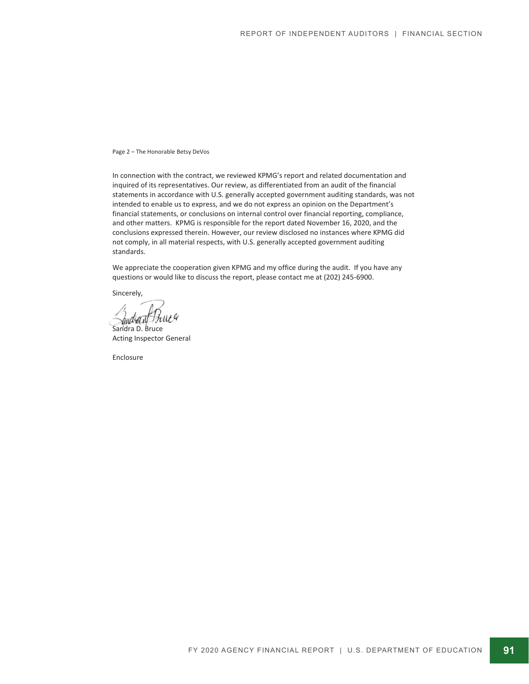Page 2 - The Honorable Betsy DeVos

In connection with the contract, we reviewed KPMG's report and related documentation and inquired of its representatives. Our review, as differentiated from an audit of the financial statements in accordance with U.S. generally accepted government auditing standards, was not intended to enable us to express, and we do not express an opinion on the Department's financial statements, or conclusions on internal control over financial reporting, compliance, and other matters. KPMG is responsible for the report dated November 16, 2020, and the conclusions expressed therein. However, our review disclosed no instances where KPMG did not comply, in all material respects, with U.S. generally accepted government auditing standards.

We appreciate the cooperation given KPMG and my office during the audit. If you have any questions or would like to discuss the report, please contact me at (202) 245-6900.

Sincerely,

andia Sandra D. Bruce

**Acting Inspector General** 

Enclosure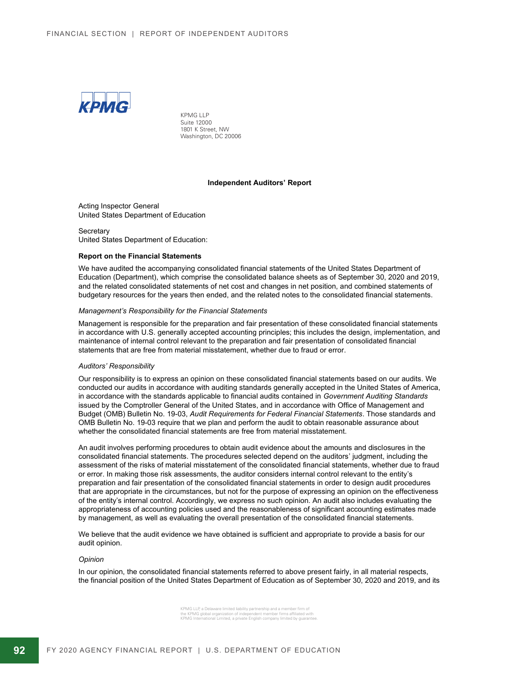

**KPMG LLP** Suite 12000 1801 K Street, NW Washington, DC 20006

#### **Independent Auditors' Report**

**Acting Inspector General** United States Department of Education

Secretary United States Department of Education:

#### **Report on the Financial Statements**

We have audited the accompanying consolidated financial statements of the United States Department of Education (Department), which comprise the consolidated balance sheets as of September 30, 2020 and 2019, and the related consolidated statements of net cost and changes in net position, and combined statements of budgetary resources for the years then ended, and the related notes to the consolidated financial statements.

#### Management's Responsibility for the Financial Statements

Management is responsible for the preparation and fair presentation of these consolidated financial statements in accordance with U.S. generally accepted accounting principles; this includes the design, implementation, and maintenance of internal control relevant to the preparation and fair presentation of consolidated financial statements that are free from material misstatement, whether due to fraud or error.

#### Auditors' Responsibility

Our responsibility is to express an opinion on these consolidated financial statements based on our audits. We conducted our audits in accordance with auditing standards generally accepted in the United States of America, in accordance with the standards applicable to financial audits contained in Government Auditing Standards issued by the Comptroller General of the United States, and in accordance with Office of Management and Budget (OMB) Bulletin No. 19-03, Audit Requirements for Federal Financial Statements. Those standards and OMB Bulletin No. 19-03 require that we plan and perform the audit to obtain reasonable assurance about whether the consolidated financial statements are free from material misstatement.

An audit involves performing procedures to obtain audit evidence about the amounts and disclosures in the consolidated financial statements. The procedures selected depend on the auditors' judgment, including the assessment of the risks of material misstatement of the consolidated financial statements, whether due to fraud or error. In making those risk assessments, the auditor considers internal control relevant to the entity's preparation and fair presentation of the consolidated financial statements in order to design audit procedures that are appropriate in the circumstances, but not for the purpose of expressing an opinion on the effectiveness of the entity's internal control. Accordingly, we express no such opinion. An audit also includes evaluating the appropriateness of accounting policies used and the reasonableness of significant accounting estimates made by management, as well as evaluating the overall presentation of the consolidated financial statements.

We believe that the audit evidence we have obtained is sufficient and appropriate to provide a basis for our audit opinion.

#### Opinion

In our opinion, the consolidated financial statements referred to above present fairly, in all material respects, the financial position of the United States Department of Education as of September 30, 2020 and 2019, and its

> KPMG LLP, a Delaware limited liability partnership and a member firm of the KPMG global organization of independent member firms affiliated with<br>KPMG International Limited, a private English company limited by quarante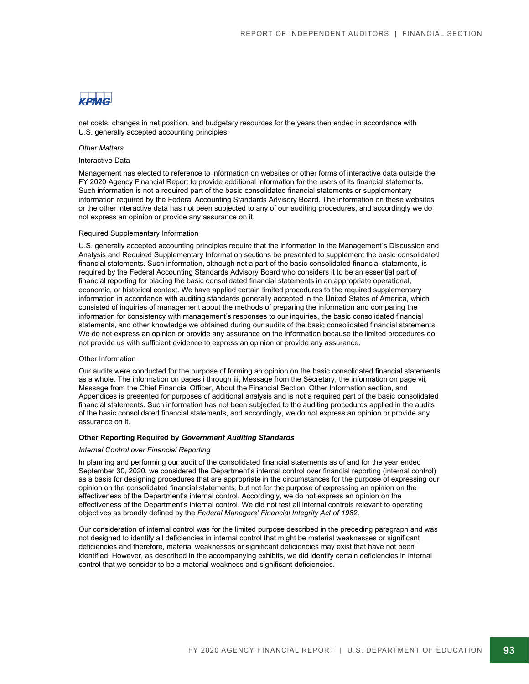# KPMG

net costs, changes in net position, and budgetary resources for the years then ended in accordance with U.S. generally accepted accounting principles.

## **Other Matters**

## Interactive Data

Management has elected to reference to information on websites or other forms of interactive data outside the FY 2020 Agency Financial Report to provide additional information for the users of its financial statements. Such information is not a required part of the basic consolidated financial statements or supplementary information required by the Federal Accounting Standards Advisory Board. The information on these websites or the other interactive data has not been subjected to any of our auditing procedures, and accordingly we do not express an opinion or provide any assurance on it.

## Required Supplementary Information

U.S. generally accepted accounting principles require that the information in the Management's Discussion and Analysis and Required Supplementary Information sections be presented to supplement the basic consolidated financial statements. Such information, although not a part of the basic consolidated financial statements, is required by the Federal Accounting Standards Advisory Board who considers it to be an essential part of financial reporting for placing the basic consolidated financial statements in an appropriate operational, economic, or historical context. We have applied certain limited procedures to the required supplementary information in accordance with auditing standards generally accepted in the United States of America, which consisted of inquiries of management about the methods of preparing the information and comparing the information for consistency with management's responses to our inquiries, the basic consolidated financial statements, and other knowledge we obtained during our audits of the basic consolidated financial statements. We do not express an opinion or provide any assurance on the information because the limited procedures do not provide us with sufficient evidence to express an opinion or provide any assurance.

#### Other Information

Our audits were conducted for the purpose of forming an opinion on the basic consolidated financial statements as a whole. The information on pages i through iii, Message from the Secretary, the information on page vii, Message from the Chief Financial Officer, About the Financial Section, Other Information section, and Appendices is presented for purposes of additional analysis and is not a required part of the basic consolidated financial statements. Such information has not been subjected to the auditing procedures applied in the audits of the basic consolidated financial statements, and accordingly, we do not express an opinion or provide any assurance on it.

#### **Other Reporting Required by Government Auditing Standards**

#### Internal Control over Financial Reporting

In planning and performing our audit of the consolidated financial statements as of and for the year ended September 30, 2020, we considered the Department's internal control over financial reporting (internal control) as a basis for designing procedures that are appropriate in the circumstances for the purpose of expressing our opinion on the consolidated financial statements, but not for the purpose of expressing an opinion on the effectiveness of the Department's internal control. Accordingly, we do not express an opinion on the effectiveness of the Department's internal control. We did not test all internal controls relevant to operating objectives as broadly defined by the Federal Managers' Financial Integrity Act of 1982.

Our consideration of internal control was for the limited purpose described in the preceding paragraph and was not designed to identify all deficiencies in internal control that might be material weaknesses or significant deficiencies and therefore, material weaknesses or significant deficiencies may exist that have not been identified. However, as described in the accompanying exhibits, we did identify certain deficiencies in internal control that we consider to be a material weakness and significant deficiencies.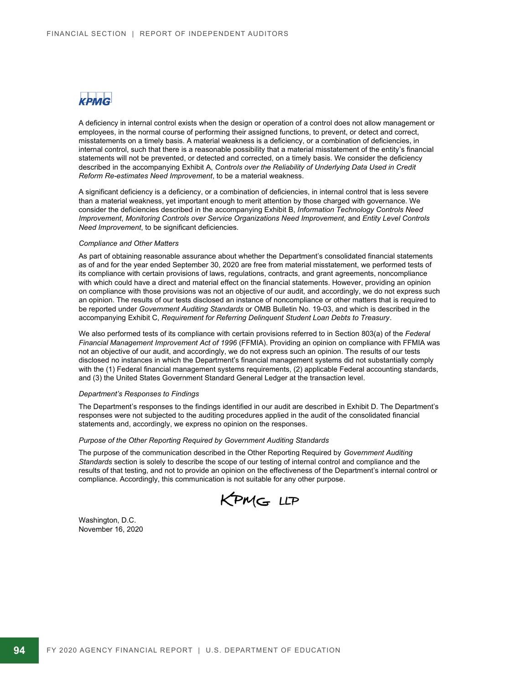

A deficiency in internal control exists when the design or operation of a control does not allow management or employees, in the normal course of performing their assigned functions, to prevent, or detect and correct, misstatements on a timely basis. A material weakness is a deficiency, or a combination of deficiencies, in internal control, such that there is a reasonable possibility that a material misstatement of the entity's financial statements will not be prevented, or detected and corrected, on a timely basis. We consider the deficiency described in the accompanying Exhibit A, Controls over the Reliability of Underlying Data Used in Credit Reform Re-estimates Need Improvement, to be a material weakness.

A significant deficiency is a deficiency, or a combination of deficiencies, in internal control that is less severe than a material weakness, yet important enough to merit attention by those charged with governance. We consider the deficiencies described in the accompanying Exhibit B, Information Technology Controls Need Improvement, Monitoring Controls over Service Organizations Need Improvement, and Entity Level Controls Need Improvement, to be significant deficiencies.

#### **Compliance and Other Matters**

As part of obtaining reasonable assurance about whether the Department's consolidated financial statements as of and for the year ended September 30, 2020 are free from material misstatement, we performed tests of its compliance with certain provisions of laws, requlations, contracts, and grant agreements, noncompliance with which could have a direct and material effect on the financial statements. However, providing an opinion on compliance with those provisions was not an objective of our audit, and accordingly, we do not express such an opinion. The results of our tests disclosed an instance of noncompliance or other matters that is required to be reported under Government Auditing Standards or OMB Bulletin No. 19-03, and which is described in the accompanying Exhibit C, Requirement for Referring Delinquent Student Loan Debts to Treasury.

We also performed tests of its compliance with certain provisions referred to in Section 803(a) of the Federal Financial Management Improvement Act of 1996 (FFMIA). Providing an opinion on compliance with FFMIA was not an objective of our audit, and accordingly, we do not express such an opinion. The results of our tests disclosed no instances in which the Department's financial management systems did not substantially comply with the (1) Federal financial management systems requirements, (2) applicable Federal accounting standards, and (3) the United States Government Standard General Ledger at the transaction level.

#### Department's Responses to Findings

The Department's responses to the findings identified in our audit are described in Exhibit D. The Department's responses were not subjected to the auditing procedures applied in the audit of the consolidated financial statements and, accordingly, we express no opinion on the responses.

## Purpose of the Other Reporting Required by Government Auditing Standards

The purpose of the communication described in the Other Reporting Required by Government Auditing Standards section is solely to describe the scope of our testing of internal control and compliance and the results of that testing, and not to provide an opinion on the effectiveness of the Department's internal control or compliance. Accordingly, this communication is not suitable for any other purpose.



Washington, D.C. November 16, 2020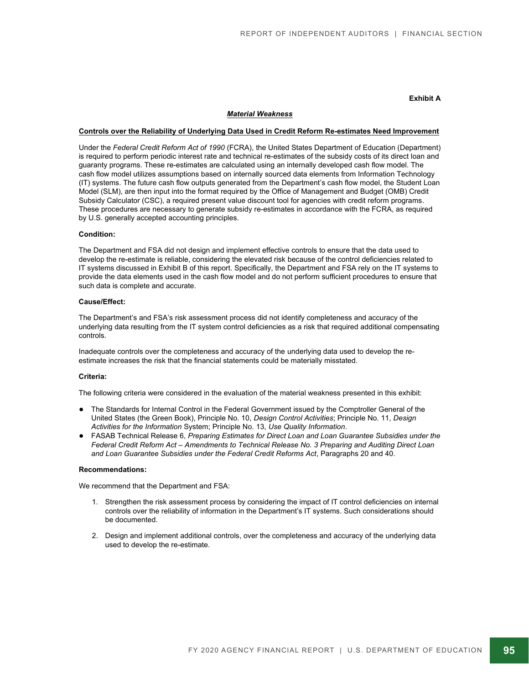## **Exhibit A**

## **Material Weakness**

#### Controls over the Reliability of Underlying Data Used in Credit Reform Re-estimates Need Improvement

Under the Federal Credit Reform Act of 1990 (FCRA), the United States Department of Education (Department) is required to perform periodic interest rate and technical re-estimates of the subsidy costs of its direct loan and guaranty programs. These re-estimates are calculated using an internally developed cash flow model. The cash flow model utilizes assumptions based on internally sourced data elements from Information Technology (IT) systems. The future cash flow outputs generated from the Department's cash flow model, the Student Loan Model (SLM), are then input into the format required by the Office of Management and Budget (OMB) Credit Subsidy Calculator (CSC), a required present value discount tool for agencies with credit reform programs. These procedures are necessary to generate subsidy re-estimates in accordance with the FCRA, as required by U.S. generally accepted accounting principles.

#### **Condition:**

The Department and FSA did not design and implement effective controls to ensure that the data used to develop the re-estimate is reliable, considering the elevated risk because of the control deficiencies related to IT systems discussed in Exhibit B of this report. Specifically, the Department and FSA rely on the IT systems to provide the data elements used in the cash flow model and do not perform sufficient procedures to ensure that such data is complete and accurate.

## Cause/Effect:

The Department's and FSA's risk assessment process did not identify completeness and accuracy of the underlying data resulting from the IT system control deficiencies as a risk that required additional compensating controls.

Inadequate controls over the completeness and accuracy of the underlying data used to develop the reestimate increases the risk that the financial statements could be materially misstated.

#### Criteria:

The following criteria were considered in the evaluation of the material weakness presented in this exhibit:

- The Standards for Internal Control in the Federal Government issued by the Comptroller General of the United States (the Green Book), Principle No. 10, Design Control Activities; Principle No. 11, Design Activities for the Information System; Principle No. 13, Use Quality Information.
- FASAB Technical Release 6, Preparing Estimates for Direct Loan and Loan Guarantee Subsidies under the Federal Credit Reform Act – Amendments to Technical Release No. 3 Preparing and Auditing Direct Loan and Loan Guarantee Subsidies under the Federal Credit Reforms Act, Paragraphs 20 and 40.

## **Recommendations:**

We recommend that the Department and FSA:

- 1. Strengthen the risk assessment process by considering the impact of IT control deficiencies on internal controls over the reliability of information in the Department's IT systems. Such considerations should be documented.
- 2. Design and implement additional controls, over the completeness and accuracy of the underlying data used to develop the re-estimate.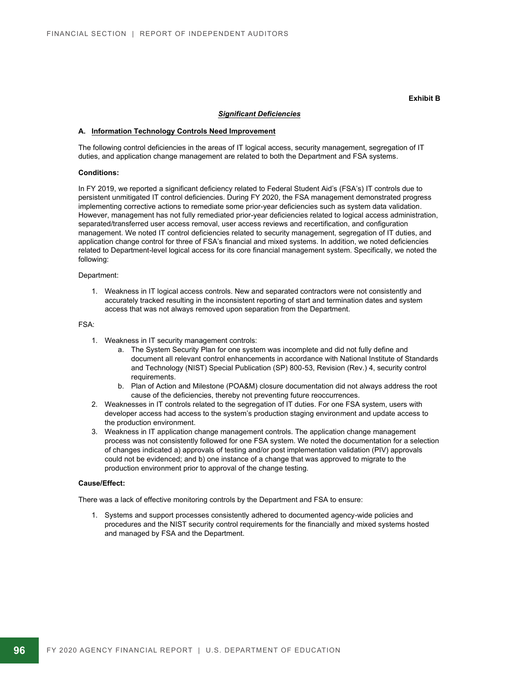#### **Exhibit B**

#### **Significant Deficiencies**

#### A. Information Technology Controls Need Improvement

The following control deficiencies in the areas of IT logical access, security management, segregation of IT duties, and application change management are related to both the Department and FSA systems.

#### **Conditions:**

In FY 2019, we reported a significant deficiency related to Federal Student Aid's (FSA's) IT controls due to persistent unmitigated IT control deficiencies. During FY 2020, the FSA management demonstrated progress implementing corrective actions to remediate some prior-year deficiencies such as system data validation. However, management has not fully remediated prior-year deficiencies related to logical access administration, separated/transferred user access removal, user access reviews and recertification, and configuration management. We noted IT control deficiencies related to security management, segregation of IT duties, and application change control for three of FSA's financial and mixed systems. In addition, we noted deficiencies related to Department-level logical access for its core financial management system. Specifically, we noted the following:

#### Department:

1. Weakness in IT logical access controls. New and separated contractors were not consistently and accurately tracked resulting in the inconsistent reporting of start and termination dates and system access that was not always removed upon separation from the Department.

## FSA:

- 1. Weakness in IT security management controls:
	- a. The System Security Plan for one system was incomplete and did not fully define and document all relevant control enhancements in accordance with National Institute of Standards and Technology (NIST) Special Publication (SP) 800-53, Revision (Rev.) 4, security control requirements.
	- b. Plan of Action and Milestone (POA&M) closure documentation did not always address the root cause of the deficiencies, thereby not preventing future reoccurrences.
- 2. Weaknesses in IT controls related to the segregation of IT duties. For one FSA system, users with developer access had access to the system's production staging environment and update access to the production environment.
- 3. Weakness in IT application change management controls. The application change management process was not consistently followed for one FSA system. We noted the documentation for a selection of changes indicated a) approvals of testing and/or post implementation validation (PIV) approvals could not be evidenced; and b) one instance of a change that was approved to migrate to the production environment prior to approval of the change testing.

## Cause/Effect:

There was a lack of effective monitoring controls by the Department and FSA to ensure:

1. Systems and support processes consistently adhered to documented agency-wide policies and procedures and the NIST security control requirements for the financially and mixed systems hosted and managed by FSA and the Department.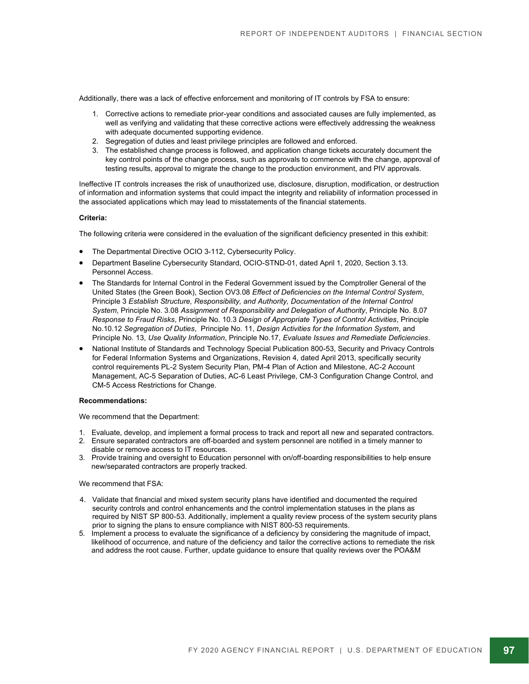Additionally, there was a lack of effective enforcement and monitoring of IT controls by FSA to ensure:

- 1. Corrective actions to remediate prior-year conditions and associated causes are fully implemented, as well as verifying and validating that these corrective actions were effectively addressing the weakness with adequate documented supporting evidence.
- 2. Segregation of duties and least privilege principles are followed and enforced.
- 3. The established change process is followed, and application change tickets accurately document the key control points of the change process, such as approvals to commence with the change, approval of testing results, approval to migrate the change to the production environment, and PIV approvals.

Ineffective IT controls increases the risk of unauthorized use, disclosure, disruption, modification, or destruction of information and information systems that could impact the integrity and reliability of information processed in the associated applications which may lead to misstatements of the financial statements.

## Critoria:

The following criteria were considered in the evaluation of the significant deficiency presented in this exhibit:

- The Departmental Directive OCIO 3-112, Cybersecurity Policy.
- Department Baseline Cybersecurity Standard, OCIO-STND-01, dated April 1, 2020, Section 3.13. Personnel Access.
- The Standards for Internal Control in the Federal Government issued by the Comptroller General of the United States (the Green Book). Section OV3.08 Effect of Deficiencies on the Internal Control System. Principle 3 Establish Structure, Responsibility, and Authority, Documentation of the Internal Control System, Principle No. 3.08 Assignment of Responsibility and Delegation of Authority, Principle No. 8.07 Response to Fraud Risks, Principle No. 10.3 Design of Appropriate Types of Control Activities, Principle No.10.12 Segregation of Duties, Principle No. 11, Design Activities for the Information System, and Principle No. 13, Use Quality Information, Principle No.17, Evaluate Issues and Remediate Deficiencies.
- National Institute of Standards and Technology Special Publication 800-53, Security and Privacy Controls for Federal Information Systems and Organizations, Revision 4, dated April 2013, specifically security control requirements PL-2 System Security Plan, PM-4 Plan of Action and Milestone, AC-2 Account Management, AC-5 Separation of Duties, AC-6 Least Privilege, CM-3 Configuration Change Control, and CM-5 Access Restrictions for Change.

#### **Recommendations:**

We recommend that the Department:

- 1. Evaluate, develop, and implement a formal process to track and report all new and separated contractors.
- 2. Ensure separated contractors are off-boarded and system personnel are notified in a timely manner to disable or remove access to IT resources.
- 3. Provide training and oversight to Education personnel with on/off-boarding responsibilities to help ensure new/separated contractors are properly tracked.

We recommend that FSA:

- 4. Validate that financial and mixed system security plans have identified and documented the required security controls and control enhancements and the control implementation statuses in the plans as required by NIST SP 800-53. Additionally, implement a quality review process of the system security plans prior to signing the plans to ensure compliance with NIST 800-53 requirements.
- 5. Implement a process to evaluate the significance of a deficiency by considering the magnitude of impact, likelihood of occurrence, and nature of the deficiency and tailor the corrective actions to remediate the risk and address the root cause. Further, update guidance to ensure that quality reviews over the POA&M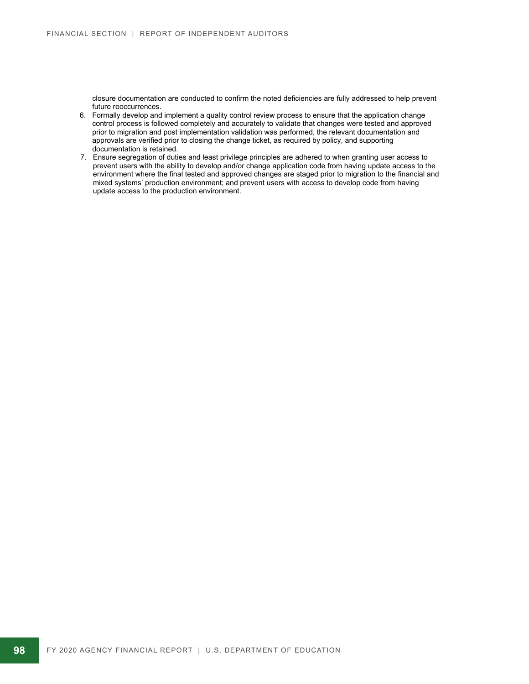closure documentation are conducted to confirm the noted deficiencies are fully addressed to help prevent future reoccurrences.

- 6. Formally develop and implement a quality control review process to ensure that the application change control process is followed completely and accurately to validate that changes were tested and approved prior to migration and post implementation validation was performed, the relevant documentation and approvals are verified prior to closing the change ticket, as required by policy, and supporting documentation is retained.
- 7. Ensure segregation of duties and least privilege principles are adhered to when granting user access to prevent users with the ability to develop and/or change application code from having update access to the environment where the final tested and approved changes are staged prior to migration to the financial and mixed systems' production environment; and prevent users with access to develop code from having update access to the production environment.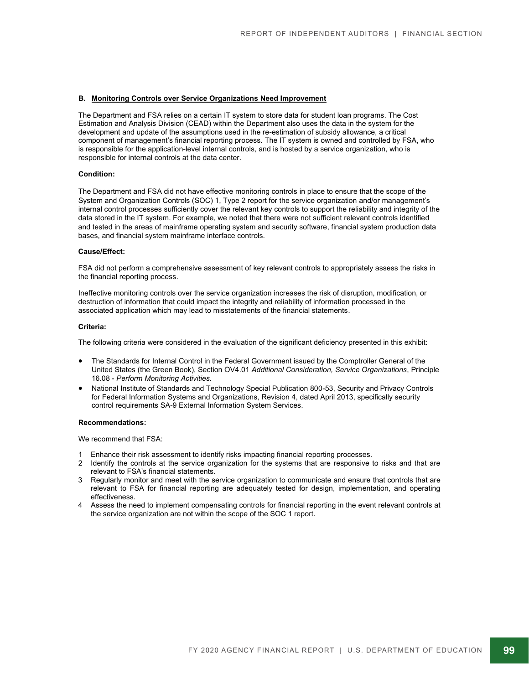## B. Monitoring Controls over Service Organizations Need Improvement

The Department and FSA relies on a certain IT system to store data for student loan programs. The Cost Estimation and Analysis Division (CEAD) within the Department also uses the data in the system for the development and update of the assumptions used in the re-estimation of subsidy allowance, a critical component of management's financial reporting process. The IT system is owned and controlled by FSA, who is responsible for the application-level internal controls, and is hosted by a service organization, who is responsible for internal controls at the data center.

#### **Condition:**

The Department and FSA did not have effective monitoring controls in place to ensure that the scope of the System and Organization Controls (SOC) 1, Type 2 report for the service organization and/or management's internal control processes sufficiently cover the relevant key controls to support the reliability and integrity of the data stored in the IT system. For example, we noted that there were not sufficient relevant controls identified and tested in the areas of mainframe operating system and security software, financial system production data bases, and financial system mainframe interface controls.

## **Cause/Effect:**

FSA did not perform a comprehensive assessment of key relevant controls to appropriately assess the risks in the financial reporting process.

Ineffective monitoring controls over the service organization increases the risk of disruption, modification, or destruction of information that could impact the integrity and reliability of information processed in the associated application which may lead to misstatements of the financial statements.

## Criteria:

The following criteria were considered in the evaluation of the significant deficiency presented in this exhibit:

- The Standards for Internal Control in the Federal Government issued by the Comptroller General of the United States (the Green Book), Section OV4.01 Additional Consideration, Service Organizations, Principle 16.08 - Perform Monitoring Activities.
- National Institute of Standards and Technology Special Publication 800-53, Security and Privacy Controls for Federal Information Systems and Organizations, Revision 4, dated April 2013, specifically security control requirements SA-9 External Information System Services.

#### **Recommendations:**

We recommend that FSA:

- 1 Enhance their risk assessment to identify risks impacting financial reporting processes.
- 2 Identify the controls at the service organization for the systems that are responsive to risks and that are relevant to FSA's financial statements.
- 3 Regularly monitor and meet with the service organization to communicate and ensure that controls that are relevant to FSA for financial reporting are adequately tested for design, implementation, and operating effectiveness.
- 4 Assess the need to implement compensating controls for financial reporting in the event relevant controls at the service organization are not within the scope of the SOC 1 report.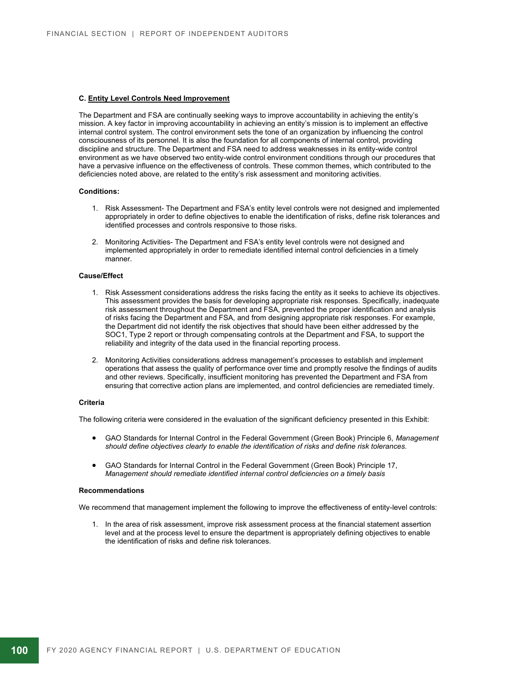## **C. Entity Level Controls Need Improvement**

The Department and FSA are continually seeking ways to improve accountability in achieving the entity's mission. A key factor in improving accountability in achieving an entity's mission is to implement an effective internal control system. The control environment sets the tone of an organization by influencing the control consciousness of its personnel. It is also the foundation for all components of internal control, providing discipline and structure. The Department and FSA need to address weaknesses in its entity-wide control environment as we have observed two entity-wide control environment conditions through our procedures that have a pervasive influence on the effectiveness of controls. These common themes, which contributed to the deficiencies noted above, are related to the entity's risk assessment and monitoring activities.

#### **Conditions:**

- 1. Risk Assessment- The Department and FSA's entity level controls were not designed and implemented appropriately in order to define objectives to enable the identification of risks, define risk tolerances and identified processes and controls responsive to those risks.
- 2. Monitoring Activities- The Department and FSA's entity level controls were not designed and implemented appropriately in order to remediate identified internal control deficiencies in a timely manner.

## **Cause/Effect**

- 1. Risk Assessment considerations address the risks facing the entity as it seeks to achieve its objectives. This assessment provides the basis for developing appropriate risk responses. Specifically, inadequate risk assessment throughout the Department and FSA, prevented the proper identification and analysis of risks facing the Department and FSA, and from designing appropriate risk responses. For example, the Department did not identify the risk objectives that should have been either addressed by the SOC1, Type 2 report or through compensating controls at the Department and FSA, to support the reliability and integrity of the data used in the financial reporting process.
- 2. Monitoring Activities considerations address management's processes to establish and implement operations that assess the quality of performance over time and promptly resolve the findings of audits and other reviews. Specifically, insufficient monitoring has prevented the Department and FSA from ensuring that corrective action plans are implemented, and control deficiencies are remediated timely.

#### Critoria

The following criteria were considered in the evaluation of the significant deficiency presented in this Exhibit:

- GAO Standards for Internal Control in the Federal Government (Green Book) Principle 6, Management should define objectives clearly to enable the identification of risks and define risk tolerances.
- GAO Standards for Internal Control in the Federal Government (Green Book) Principle 17, Management should remediate identified internal control deficiencies on a timely basis

#### **Recommendations**

We recommend that management implement the following to improve the effectiveness of entity-level controls:

1. In the area of risk assessment, improve risk assessment process at the financial statement assertion level and at the process level to ensure the department is appropriately defining objectives to enable the identification of risks and define risk tolerances.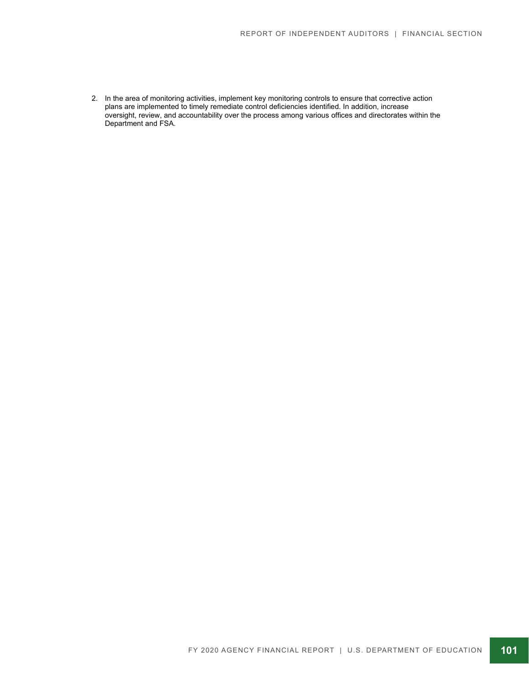2. In the area of monitoring activities, implement key monitoring controls to ensure that corrective action plans are implemented to timely remediate control deficiencies identified. In addition, increase oversight, review, and accountability over the process among various offices and directorates within the Department and FSA.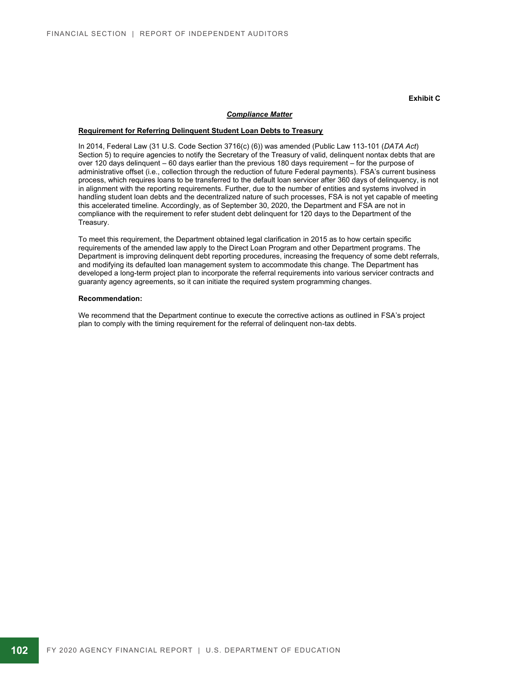## **Exhibit C**

## **Compliance Matter**

#### Requirement for Referring Delinquent Student Loan Debts to Treasury

In 2014, Federal Law (31 U.S. Code Section 3716(c) (6)) was amended (Public Law 113-101 (DATA Act) Section 5) to require agencies to notify the Secretary of the Treasury of valid, delinguent nontax debts that are over 120 days delinguent – 60 days earlier than the previous 180 days requirement – for the purpose of administrative offset (i.e., collection through the reduction of future Federal payments). FSA's current business process, which requires loans to be transferred to the default loan servicer after 360 days of delinguency, is not in alignment with the reporting requirements. Further, due to the number of entities and systems involved in handling student loan debts and the decentralized nature of such processes. FSA is not yet capable of meeting this accelerated timeline. Accordingly, as of September 30, 2020, the Department and FSA are not in compliance with the requirement to refer student debt delinquent for 120 days to the Department of the Treasury.

To meet this requirement, the Department obtained legal clarification in 2015 as to how certain specific requirements of the amended law apply to the Direct Loan Program and other Department programs. The Department is improving delinquent debt reporting procedures, increasing the frequency of some debt referrals, and modifying its defaulted loan management system to accommodate this change. The Department has developed a long-term project plan to incorporate the referral requirements into various servicer contracts and guaranty agency agreements, so it can initiate the required system programming changes.

## **Recommendation:**

We recommend that the Department continue to execute the corrective actions as outlined in FSA's project plan to comply with the timing requirement for the referral of delinquent non-tax debts.